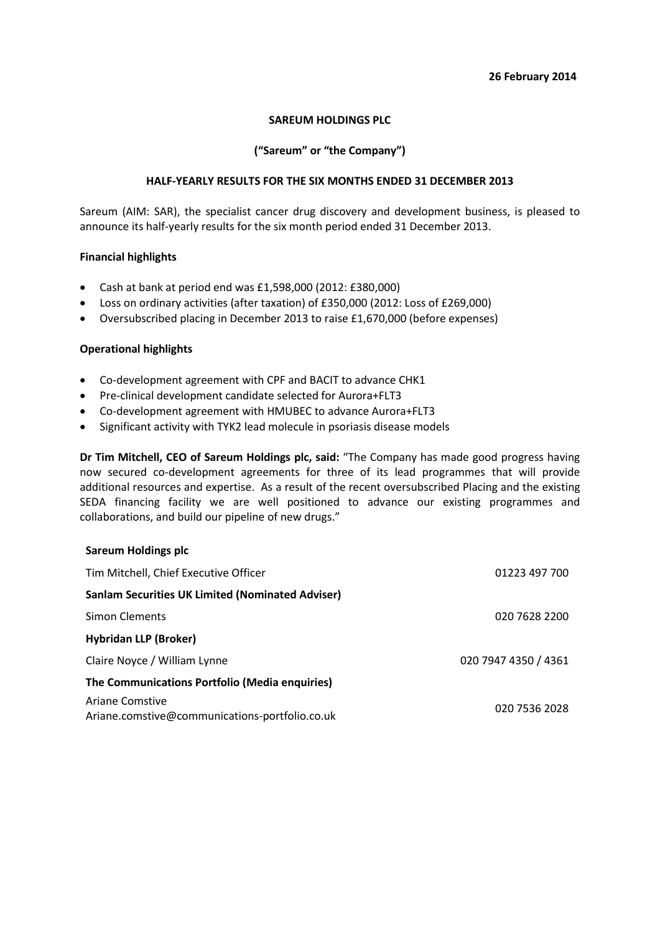#### **26 February 2014**

## **SAREUM HOLDINGS PLC**

## **("Sareum" or "the Company")**

## **HALF-YEARLY RESULTS FOR THE SIX MONTHS ENDED 31 DECEMBER 2013**

Sareum (AIM: SAR), the specialist cancer drug discovery and development business, is pleased to announce its half-yearly results for the six month period ended 31 December 2013.

#### **Financial highlights**

- Cash at bank at period end was £1,598,000 (2012: £380,000)
- Loss on ordinary activities (after taxation) of £350,000 (2012: Loss of £269,000)
- Oversubscribed placing in December 2013 to raise £1,670,000 (before expenses)

#### **Operational highlights**

**Sareum Holdings plc**

- Co-development agreement with CPF and BACIT to advance CHK1
- Pre-clinical development candidate selected for Aurora+FLT3
- Co-development agreement with HMUBEC to advance Aurora+FLT3
- Significant activity with TYK2 lead molecule in psoriasis disease models

**Dr Tim Mitchell, CEO of Sareum Holdings plc, said:** "The Company has made good progress having now secured co-development agreements for three of its lead programmes that will provide additional resources and expertise. As a result of the recent oversubscribed Placing and the existing SEDA financing facility we are well positioned to advance our existing programmes and collaborations, and build our pipeline of new drugs."

| Tim Mitchell, Chief Executive Officer                                    | 01223 497 700        |
|--------------------------------------------------------------------------|----------------------|
| <b>Sanlam Securities UK Limited (Nominated Adviser)</b>                  |                      |
| Simon Clements                                                           | 020 7628 2200        |
| <b>Hybridan LLP (Broker)</b>                                             |                      |
| Claire Noyce / William Lynne                                             | 020 7947 4350 / 4361 |
| The Communications Portfolio (Media enquiries)                           |                      |
| <b>Ariane Comstive</b><br>Ariane.comstive@communications-portfolio.co.uk | 020 7536 2028        |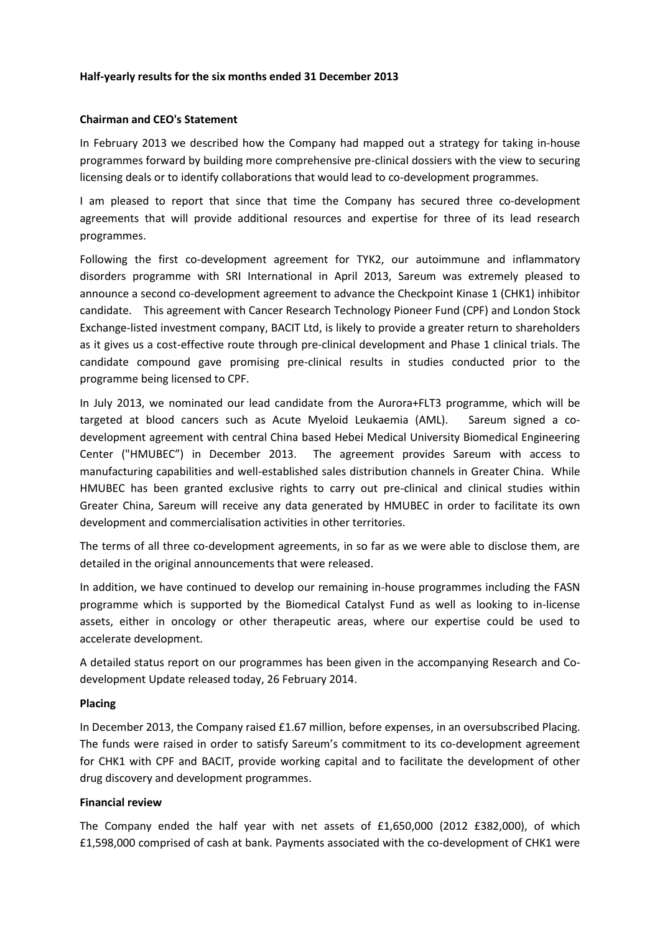## **Half-yearly results for the six months ended 31 December 2013**

#### **Chairman and CEO's Statement**

In February 2013 we described how the Company had mapped out a strategy for taking in-house programmes forward by building more comprehensive pre-clinical dossiers with the view to securing licensing deals or to identify collaborations that would lead to co-development programmes.

I am pleased to report that since that time the Company has secured three co-development agreements that will provide additional resources and expertise for three of its lead research programmes.

Following the first co-development agreement for TYK2, our autoimmune and inflammatory disorders programme with SRI International in April 2013, Sareum was extremely pleased to announce a second co-development agreement to advance the Checkpoint Kinase 1 (CHK1) inhibitor candidate. This agreement with Cancer Research Technology Pioneer Fund (CPF) and London Stock Exchange-listed investment company, BACIT Ltd, is likely to provide a greater return to shareholders as it gives us a cost-effective route through pre-clinical development and Phase 1 clinical trials. The candidate compound gave promising pre-clinical results in studies conducted prior to the programme being licensed to CPF.

In July 2013, we nominated our lead candidate from the Aurora+FLT3 programme, which will be targeted at blood cancers such as Acute Myeloid Leukaemia (AML). Sareum signed a codevelopment agreement with central China based Hebei Medical University Biomedical Engineering Center ("HMUBEC") in December 2013. The agreement provides Sareum with access to manufacturing capabilities and well-established sales distribution channels in Greater China. While HMUBEC has been granted exclusive rights to carry out pre-clinical and clinical studies within Greater China, Sareum will receive any data generated by HMUBEC in order to facilitate its own development and commercialisation activities in other territories.

The terms of all three co-development agreements, in so far as we were able to disclose them, are detailed in the original announcements that were released.

In addition, we have continued to develop our remaining in-house programmes including the FASN programme which is supported by the Biomedical Catalyst Fund as well as looking to in-license assets, either in oncology or other therapeutic areas, where our expertise could be used to accelerate development.

A detailed status report on our programmes has been given in the accompanying Research and Codevelopment Update released today, 26 February 2014.

#### **Placing**

In December 2013, the Company raised £1.67 million, before expenses, in an oversubscribed Placing. The funds were raised in order to satisfy Sareum's commitment to its co-development agreement for CHK1 with CPF and BACIT, provide working capital and to facilitate the development of other drug discovery and development programmes.

#### **Financial review**

The Company ended the half year with net assets of £1,650,000 (2012 £382,000), of which £1,598,000 comprised of cash at bank. Payments associated with the co-development of CHK1 were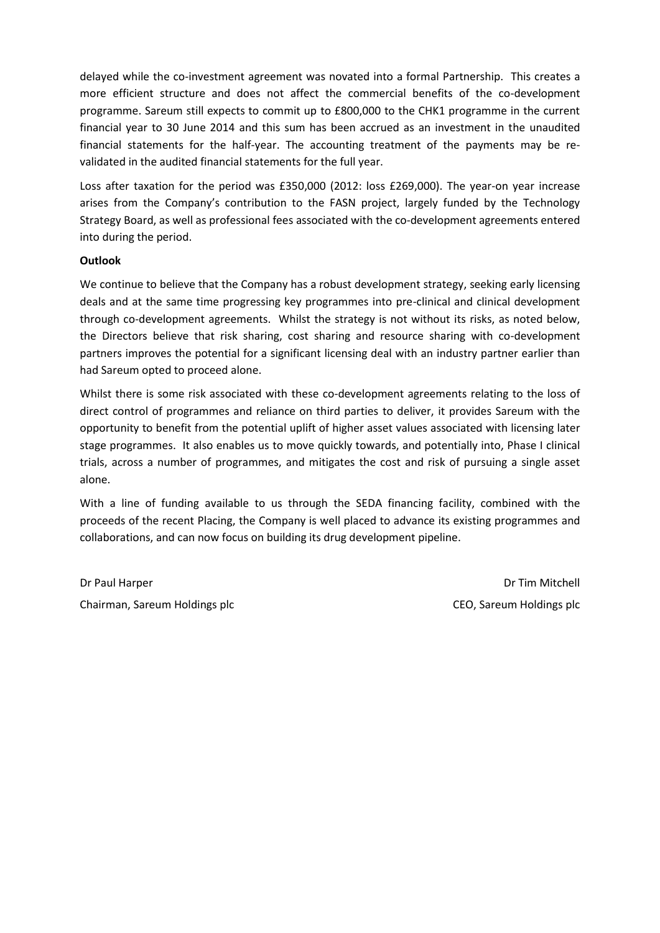delayed while the co-investment agreement was novated into a formal Partnership. This creates a more efficient structure and does not affect the commercial benefits of the co-development programme. Sareum still expects to commit up to £800,000 to the CHK1 programme in the current financial year to 30 June 2014 and this sum has been accrued as an investment in the unaudited financial statements for the half-year. The accounting treatment of the payments may be revalidated in the audited financial statements for the full year.

Loss after taxation for the period was £350,000 (2012: loss £269,000). The year-on year increase arises from the Company's contribution to the FASN project, largely funded by the Technology Strategy Board, as well as professional fees associated with the co-development agreements entered into during the period.

## **Outlook**

We continue to believe that the Company has a robust development strategy, seeking early licensing deals and at the same time progressing key programmes into pre-clinical and clinical development through co-development agreements. Whilst the strategy is not without its risks, as noted below, the Directors believe that risk sharing, cost sharing and resource sharing with co-development partners improves the potential for a significant licensing deal with an industry partner earlier than had Sareum opted to proceed alone.

Whilst there is some risk associated with these co-development agreements relating to the loss of direct control of programmes and reliance on third parties to deliver, it provides Sareum with the opportunity to benefit from the potential uplift of higher asset values associated with licensing later stage programmes. It also enables us to move quickly towards, and potentially into, Phase I clinical trials, across a number of programmes, and mitigates the cost and risk of pursuing a single asset alone.

With a line of funding available to us through the SEDA financing facility, combined with the proceeds of the recent Placing, the Company is well placed to advance its existing programmes and collaborations, and can now focus on building its drug development pipeline.

Dr Paul Harper Chairman, Sareum Holdings plc

Dr Tim Mitchell CEO, Sareum Holdings plc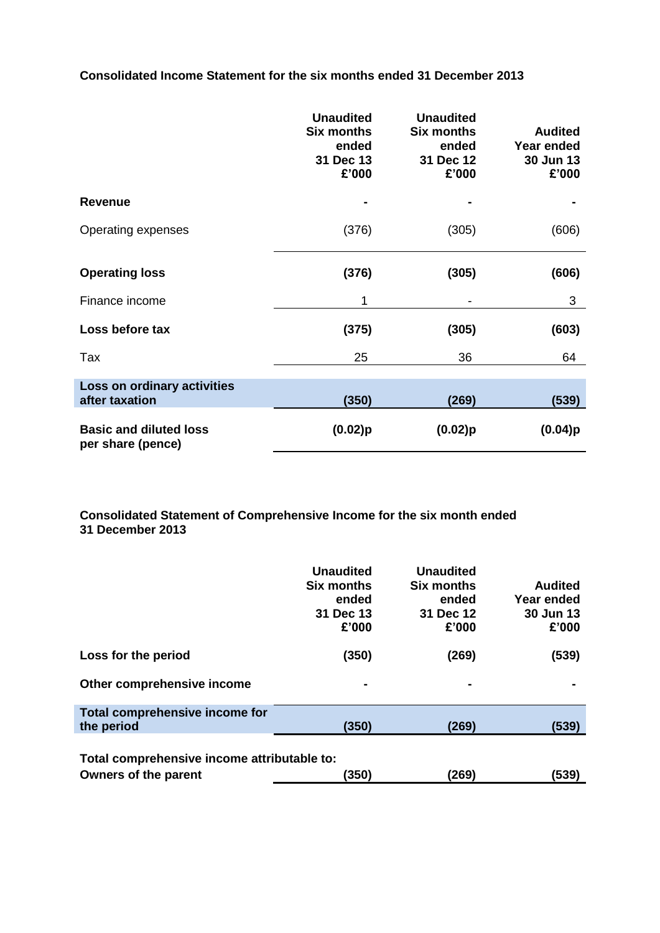**Consolidated Income Statement for the six months ended 31 December 2013**

|                                                    | <b>Unaudited</b><br><b>Six months</b><br>ended<br>31 Dec 13<br>£'000 | <b>Unaudited</b><br><b>Six months</b><br>ended<br>31 Dec 12<br>£'000 | <b>Audited</b><br>Year ended<br>30 Jun 13<br>£'000 |
|----------------------------------------------------|----------------------------------------------------------------------|----------------------------------------------------------------------|----------------------------------------------------|
| <b>Revenue</b>                                     |                                                                      |                                                                      |                                                    |
| Operating expenses                                 | (376)                                                                | (305)                                                                | (606)                                              |
| <b>Operating loss</b>                              | (376)                                                                | (305)                                                                | (606)                                              |
| Finance income                                     | 1                                                                    |                                                                      | 3                                                  |
| Loss before tax                                    | (375)                                                                | (305)                                                                | (603)                                              |
| Tax                                                | 25                                                                   | 36                                                                   | 64                                                 |
| Loss on ordinary activities<br>after taxation      | (350)                                                                | (269)                                                                | (539)                                              |
| <b>Basic and diluted loss</b><br>per share (pence) | $(0.02)$ p                                                           | $(0.02)$ p                                                           | (0.04)p                                            |

**Consolidated Statement of Comprehensive Income for the six month ended 31 December 2013**

|                                                                                                       | <b>Unaudited</b><br><b>Six months</b><br>ended<br>31 Dec 13<br>£'000 | <b>Unaudited</b><br><b>Six months</b><br>ended<br>31 Dec 12<br>£'000 | <b>Audited</b><br>Year ended<br>30 Jun 13<br>£'000 |  |
|-------------------------------------------------------------------------------------------------------|----------------------------------------------------------------------|----------------------------------------------------------------------|----------------------------------------------------|--|
| Loss for the period                                                                                   | (350)                                                                | (269)                                                                | (539)                                              |  |
| Other comprehensive income                                                                            | $\blacksquare$                                                       |                                                                      |                                                    |  |
| Total comprehensive income for                                                                        |                                                                      |                                                                      |                                                    |  |
| the period                                                                                            | (350)                                                                | (269)                                                                | (539)                                              |  |
| Total comprehensive income attributable to:<br>(350)<br>(269)<br><b>Owners of the parent</b><br>(539) |                                                                      |                                                                      |                                                    |  |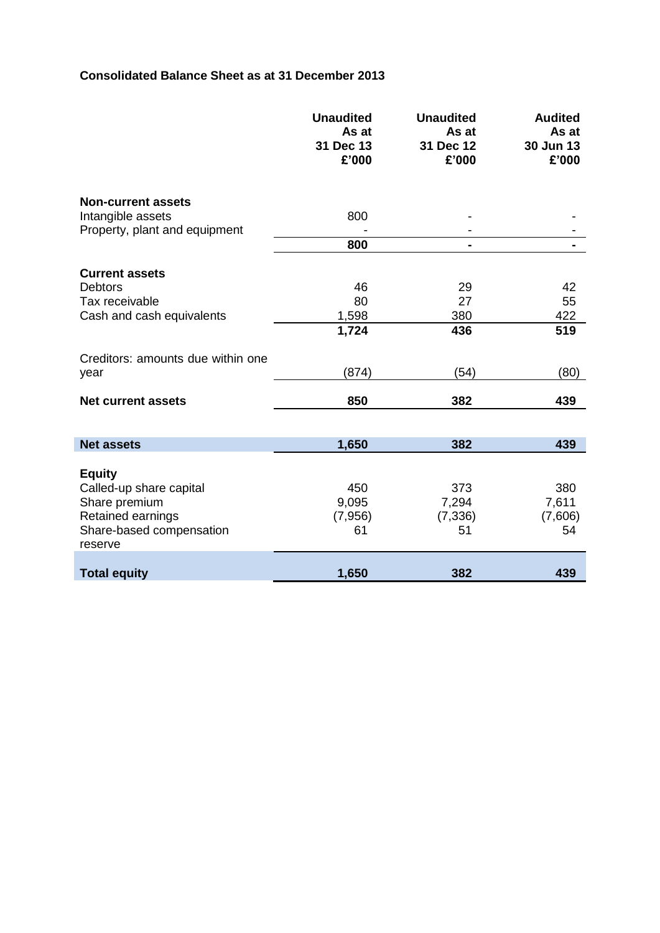## **Consolidated Balance Sheet as at 31 December 2013**

I

|                                     | <b>Unaudited</b><br>As at<br>31 Dec 13<br>£'000 | <b>Unaudited</b><br>As at<br>31 Dec 12<br>£'000 | <b>Audited</b><br>As at<br>30 Jun 13<br>£'000 |
|-------------------------------------|-------------------------------------------------|-------------------------------------------------|-----------------------------------------------|
| <b>Non-current assets</b>           |                                                 |                                                 |                                               |
| Intangible assets                   | 800                                             |                                                 |                                               |
| Property, plant and equipment       |                                                 |                                                 |                                               |
|                                     | 800                                             |                                                 |                                               |
| <b>Current assets</b>               |                                                 |                                                 |                                               |
| <b>Debtors</b>                      | 46                                              | 29                                              | 42                                            |
| Tax receivable                      | 80                                              | 27                                              | 55                                            |
| Cash and cash equivalents           | 1,598                                           | 380                                             | 422                                           |
|                                     | 1,724                                           | 436                                             | 519                                           |
| Creditors: amounts due within one   |                                                 |                                                 |                                               |
| year                                | (874)                                           | (54)                                            | (80)                                          |
| <b>Net current assets</b>           | 850                                             | 382                                             | 439                                           |
|                                     |                                                 |                                                 |                                               |
| <b>Net assets</b>                   | 1,650                                           | 382                                             | 439                                           |
|                                     |                                                 |                                                 |                                               |
| <b>Equity</b>                       |                                                 |                                                 |                                               |
| Called-up share capital             | 450<br>9,095                                    | 373                                             | 380                                           |
| Share premium<br>Retained earnings  | (7,956)                                         | 7,294<br>(7, 336)                               | 7,611<br>(7,606)                              |
| Share-based compensation<br>reserve | 61                                              | 51                                              | 54                                            |
|                                     |                                                 |                                                 |                                               |
| <b>Total equity</b>                 | 1,650                                           | 382                                             | 439                                           |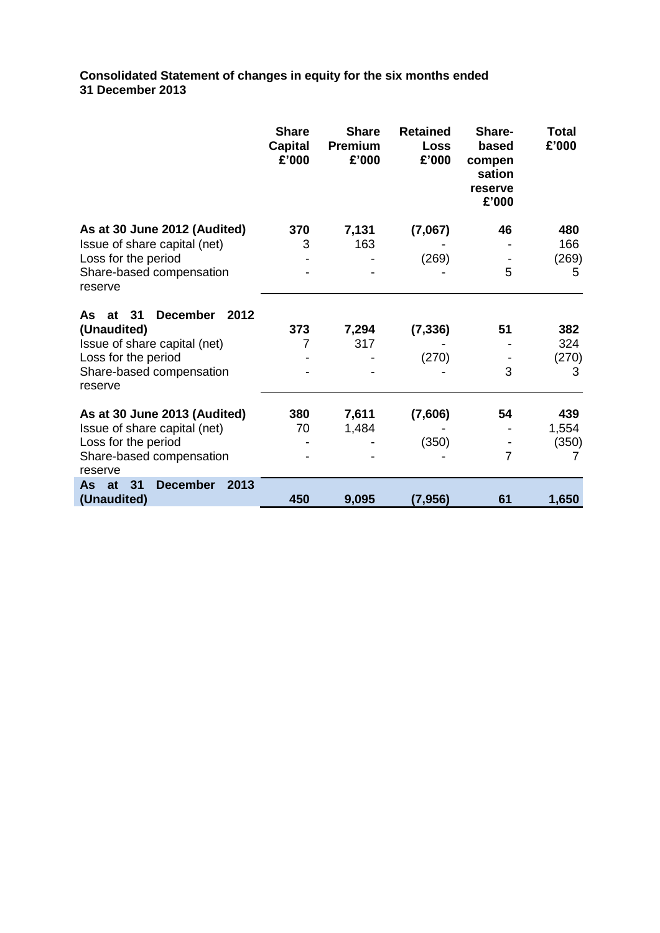**Consolidated Statement of changes in equity for the six months ended 31 December 2013**

|                                            | <b>Share</b><br><b>Capital</b><br>£'000 | <b>Share</b><br>Premium<br>£'000 | <b>Retained</b><br>Loss<br>£'000 | Share-<br>based<br>compen<br>sation<br>reserve<br>£'000 | <b>Total</b><br>£'000 |
|--------------------------------------------|-----------------------------------------|----------------------------------|----------------------------------|---------------------------------------------------------|-----------------------|
| As at 30 June 2012 (Audited)               | 370                                     | 7,131                            | (7,067)                          | 46                                                      | 480                   |
| Issue of share capital (net)               | 3                                       | 163                              |                                  |                                                         | 166                   |
| Loss for the period                        |                                         |                                  | (269)                            |                                                         | (269)                 |
| Share-based compensation<br>reserve        |                                         |                                  |                                  | 5                                                       | 5                     |
| <b>December</b><br>2012<br>31<br>As.<br>at |                                         |                                  |                                  |                                                         |                       |
| (Unaudited)                                | 373                                     | 7,294                            | (7, 336)                         | 51                                                      | 382                   |
| Issue of share capital (net)               | 7                                       | 317                              |                                  |                                                         | 324                   |
| Loss for the period                        |                                         |                                  | (270)                            |                                                         | (270)                 |
| Share-based compensation<br>reserve        |                                         |                                  |                                  | 3                                                       | 3                     |
| As at 30 June 2013 (Audited)               | 380                                     | 7,611                            | (7,606)                          | 54                                                      | 439                   |
| Issue of share capital (net)               | 70                                      | 1,484                            |                                  |                                                         | 1,554                 |
| Loss for the period                        |                                         |                                  | (350)                            |                                                         | (350)                 |
| Share-based compensation<br>reserve        |                                         |                                  |                                  | $\overline{7}$                                          |                       |
| <b>December</b><br>2013<br>at<br>31<br>As  |                                         |                                  |                                  |                                                         |                       |
| (Unaudited)                                | 450                                     | 9,095                            | (7, 956)                         | 61                                                      | 1,650                 |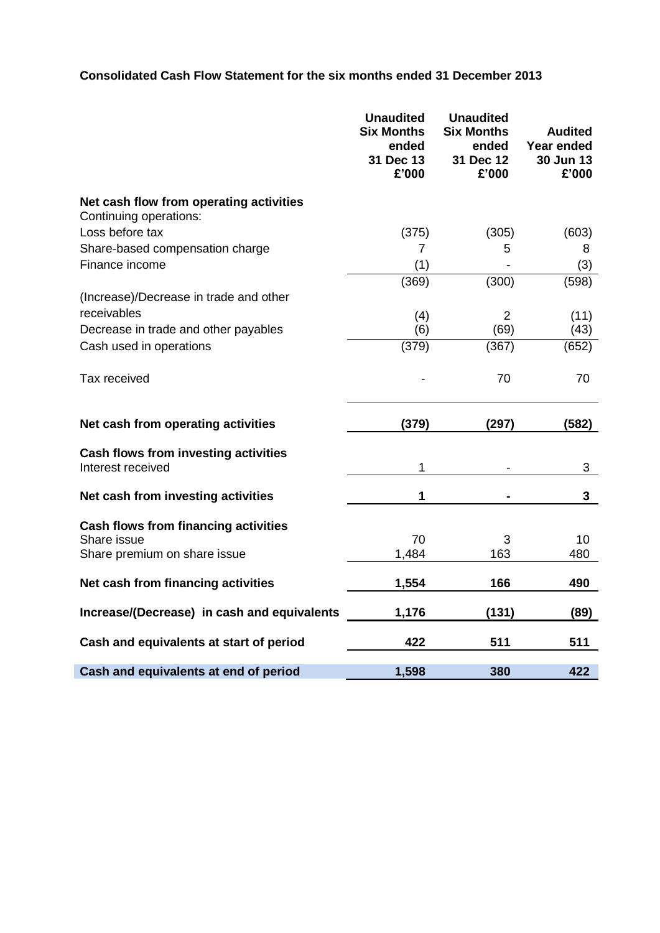# **Consolidated Cash Flow Statement for the six months ended 31 December 2013**

|                                                                   | <b>Unaudited</b><br><b>Six Months</b><br>ended<br>31 Dec 13<br>£'000 | <b>Unaudited</b><br><b>Six Months</b><br>ended<br>31 Dec 12<br>£'000 | <b>Audited</b><br>Year ended<br>30 Jun 13<br>£'000 |
|-------------------------------------------------------------------|----------------------------------------------------------------------|----------------------------------------------------------------------|----------------------------------------------------|
| Net cash flow from operating activities<br>Continuing operations: |                                                                      |                                                                      |                                                    |
| Loss before tax                                                   | (375)                                                                | (305)                                                                | (603)                                              |
| Share-based compensation charge                                   | 7                                                                    | 5                                                                    | 8                                                  |
| Finance income                                                    | (1)                                                                  |                                                                      | (3)                                                |
|                                                                   | (369)                                                                | (300)                                                                | (598)                                              |
| (Increase)/Decrease in trade and other                            |                                                                      |                                                                      |                                                    |
| receivables                                                       | (4)                                                                  | $\overline{2}$                                                       | (11)                                               |
| Decrease in trade and other payables                              | (6)                                                                  | (69)                                                                 | (43)                                               |
| Cash used in operations                                           | (379)                                                                | (367)                                                                | (652)                                              |
| Tax received                                                      |                                                                      | 70                                                                   | 70                                                 |
| Net cash from operating activities                                | (379)                                                                | (297)                                                                | (582)                                              |
| <b>Cash flows from investing activities</b><br>Interest received  | 1                                                                    |                                                                      | 3                                                  |
| Net cash from investing activities                                | 1                                                                    |                                                                      | $\mathbf{3}$                                       |
| <b>Cash flows from financing activities</b>                       |                                                                      |                                                                      |                                                    |
| Share issue<br>Share premium on share issue                       | 70<br>1,484                                                          | 3<br>163                                                             | 10<br>480                                          |
| Net cash from financing activities                                | 1,554                                                                | 166                                                                  | 490                                                |
| Increase/(Decrease) in cash and equivalents                       | 1,176                                                                | (131)                                                                | (89)                                               |
| Cash and equivalents at start of period                           | 422                                                                  | 511                                                                  | 511                                                |
| Cash and equivalents at end of period                             | 1,598                                                                | 380                                                                  | 422                                                |